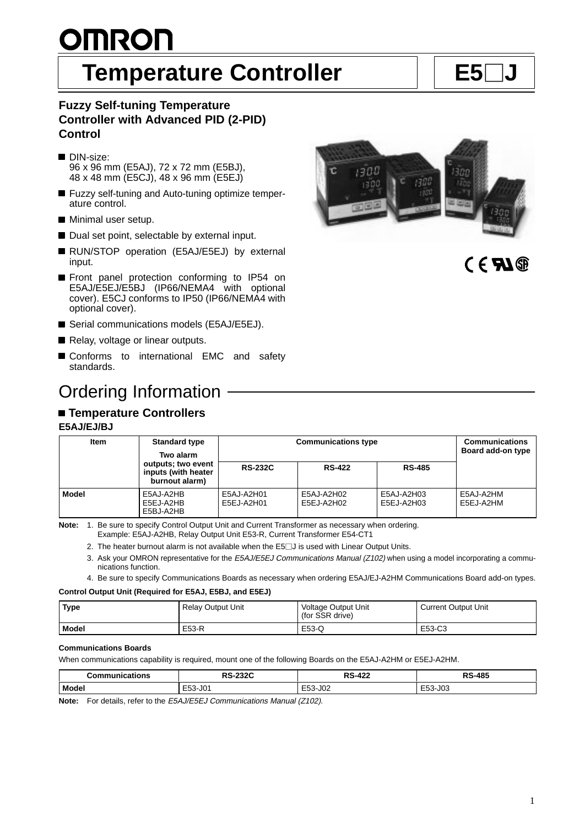# <u>OMRON</u> **Temperature Controller** | E5

# **Fuzzy Self-tuning Temperature Controller with Advanced PID (2-PID) Control**

- DIN-size: 96 x 96 mm (E5AJ), 72 x 72 mm (E5BJ), 48 x 48 mm (E5CJ), 48 x 96 mm (E5EJ)
- Fuzzy self-tuning and Auto-tuning optimize temperature control.
- **Minimal user setup.**
- Dual set point, selectable by external input.
- RUN/STOP operation (E5AJ/E5EJ) by external input.
- **Front panel protection conforming to IP54 on** E5AJ/E5EJ/E5BJ (IP66/NEMA4 with optional cover). E5CJ conforms to IP50 (IP66/NEMA4 with optional cover).
- Serial communications models (E5AJ/E5EJ).
- Relay, voltage or linear outputs.
- Conforms to international EMC and safety standards.

# Ordering Information

# **Temperature Controllers**

#### **E5AJ/EJ/BJ**

| Item         | <b>Standard type</b><br>Two alarm                           | <b>Communications type</b> | <b>Communications</b><br>Board add-on type |                          |                        |
|--------------|-------------------------------------------------------------|----------------------------|--------------------------------------------|--------------------------|------------------------|
|              | outputs; two event<br>inputs (with heater<br>burnout alarm) | <b>RS-232C</b>             | <b>RS-422</b>                              | <b>RS-485</b>            |                        |
| <b>Model</b> | E5AJ-A2HB<br>E5EJ-A2HB<br>E5BJ-A2HB                         | E5AJ-A2H01<br>E5EJ-A2H01   | E5AJ-A2H02<br>E5EJ-A2H02                   | E5AJ-A2H03<br>E5EJ-A2H03 | E5AJ-A2HM<br>E5EJ-A2HM |

**Note:** 1. Be sure to specify Control Output Unit and Current Transformer as necessary when ordering. Example: E5AJ-A2HB, Relay Output Unit E53-R, Current Transformer E54-CT1

2. The heater burnout alarm is not available when the  $E5\square J$  is used with Linear Output Units.

3. Ask your OMRON representative for the E5AJ/E5EJ Communications Manual (Z102) when using a model incorporating a communications function.

4. Be sure to specify Communications Boards as necessary when ordering E5AJ/EJ-A2HM Communications Board add-on types.

#### **Control Output Unit (Required for E5AJ, E5BJ, and E5EJ)**

| <b>Type</b> | <b>Relay Output Unit</b> | <b>Voltage Output Unit</b><br>(for SSR drive) | <b>Current Output Unit</b> |
|-------------|--------------------------|-----------------------------------------------|----------------------------|
| Model       | E53-R                    | E53-Q                                         | E53-C3                     |

#### **Communications Boards**

When communications capability is required, mount one of the following Boards on the E5AJ-A2HM or E5EJ-A2HM.

| communications? | מפפר<br>nе<br>-2324<br>יכא  | ົ້.\ວ- <sup>4?</sup> ົ | <b>S-485</b><br>DС |
|-----------------|-----------------------------|------------------------|--------------------|
| Model           | $  -$<br>$\sim$<br>ו ∪ט 15ל | E53-J02<br>__          | E53-J03            |

**Note:** For details, refer to the E5AJ/E5EJ Communications Manual (Z102).

1300

 $C \in \mathcal{L}(\mathbb{R})$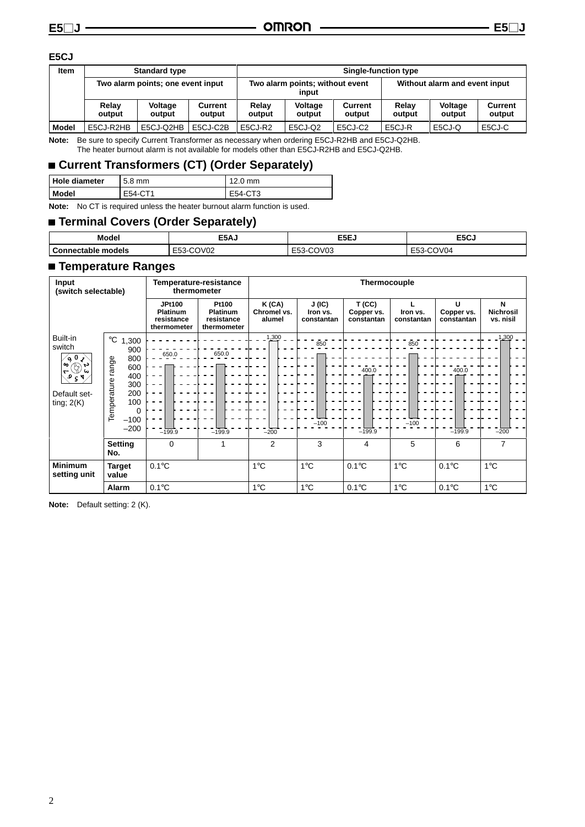#### **E5CJ**

| <b>Item</b>  | <b>Standard type</b>              |                   |                                          |                 | <b>Single-function type</b> |                               |                 |                   |                   |  |
|--------------|-----------------------------------|-------------------|------------------------------------------|-----------------|-----------------------------|-------------------------------|-----------------|-------------------|-------------------|--|
|              | Two alarm points; one event input |                   | Two alarm points; without event<br>input |                 |                             | Without alarm and event input |                 |                   |                   |  |
|              | Relav<br>output                   | Voltage<br>output | Current<br>output                        | Relay<br>output | Voltage<br>output           | <b>Current</b><br>output      | Relay<br>output | Voltage<br>output | Current<br>output |  |
| <b>Model</b> | E5CJ-R2HB                         | E5CJ-Q2HB         | E5CJ-C2B                                 | E5CJ-R2         | E5CJ-Q2                     | E5CJ-C2                       | E5CJ-R          | E5CJ-Q            | E5CJ-C            |  |

**Note:** Be sure to specify Current Transformer as necessary when ordering E5CJ-R2HB and E5CJ-Q2HB. The heater burnout alarm is not available for models other than E5CJ-R2HB and E5CJ-Q2HB.

# **Current Transformers (CT) (Order Separately)**

| Hole diameter<br>$5.8$ mm |         | $12.0 \text{ mm}$ |
|---------------------------|---------|-------------------|
| <b>I</b> Model            | E54-CT1 | E54-CT3           |
| .                         |         |                   |

**Note:** No CT is required unless the heater burnout alarm function is used.

# **Terminal Covers (Order Separately)**

| Model              | E5AJ                                             | E5EJ                       | E5CJ                             |
|--------------------|--------------------------------------------------|----------------------------|----------------------------------|
| Connectable models | COV <sub>02</sub><br>$\sim$<br>$\sim$<br>ີ<br>__ | COV <sub>03</sub><br>E53-1 | COV <sub>04</sub><br>--<br>–ఎఎ-' |

### **Temperature Ranges**

| Input<br>(switch selectable)                                                                                                                                   |                                                                                                                         | Temperature-resistance<br>thermometer                  |                                                       | Thermocouple                   |                                 |                                   |                        |                               |                                    |
|----------------------------------------------------------------------------------------------------------------------------------------------------------------|-------------------------------------------------------------------------------------------------------------------------|--------------------------------------------------------|-------------------------------------------------------|--------------------------------|---------------------------------|-----------------------------------|------------------------|-------------------------------|------------------------------------|
|                                                                                                                                                                |                                                                                                                         | <b>JPt100</b><br>Platinum<br>resistance<br>thermometer | Pt100<br><b>Platinum</b><br>resistance<br>thermometer | K(CA)<br>Chromel vs.<br>alumel | J(IC)<br>Iron vs.<br>constantan | T(CC)<br>Copper vs.<br>constantan | Iron vs.<br>constantan | U<br>Copper vs.<br>constantan | N<br><b>Nichrosil</b><br>vs. nisil |
| Built-in<br>switch<br>$\zeta$ 0 $\zeta$<br>$\infty$<br>$\mathfrak{F}^{\omega}_{\mathfrak{D}}$<br>$\mathbf{\tau}$<br>$\sqrt{2}$<br>Default set-<br>ting; $2(K)$ | $^{\circ}$ C<br>1,300<br>900<br>800<br>range<br>600<br>400<br>Temperature<br>300<br>200<br>100<br>0<br>$-100$<br>$-200$ | 650.0<br>$-199.9$                                      | 650.0<br>$-199.9$                                     | $1,300 -$<br>$-200$            | 850<br>$-100$                   | 400.0<br>$-199.9$                 | 850<br>$-100$          | 400.0<br>$-199.9$             | 1,300<br>$-200$                    |
|                                                                                                                                                                | <b>Setting</b><br>No.                                                                                                   | 0                                                      |                                                       | $\overline{2}$                 | 3                               | 4                                 | 5                      | 6                             | 7                                  |
| <b>Minimum</b><br>setting unit                                                                                                                                 | <b>Target</b><br>value                                                                                                  | $0.1^{\circ}$ C                                        |                                                       | 1°C                            | $1^{\circ}$ C                   | $0.1^{\circ}$ C                   | $1^{\circ}$ C          | $0.1^{\circ}$ C               | $1^{\circ}$ C                      |
|                                                                                                                                                                | Alarm                                                                                                                   | $0.1^{\circ}$ C                                        |                                                       | $1^{\circ}$ C                  | $1^{\circ}$ C                   | $0.1^{\circ}$ C                   | $1^{\circ}$ C          | $0.1^{\circ}$ C               | $1^{\circ}$ C                      |

**Note:** Default setting: 2 (K).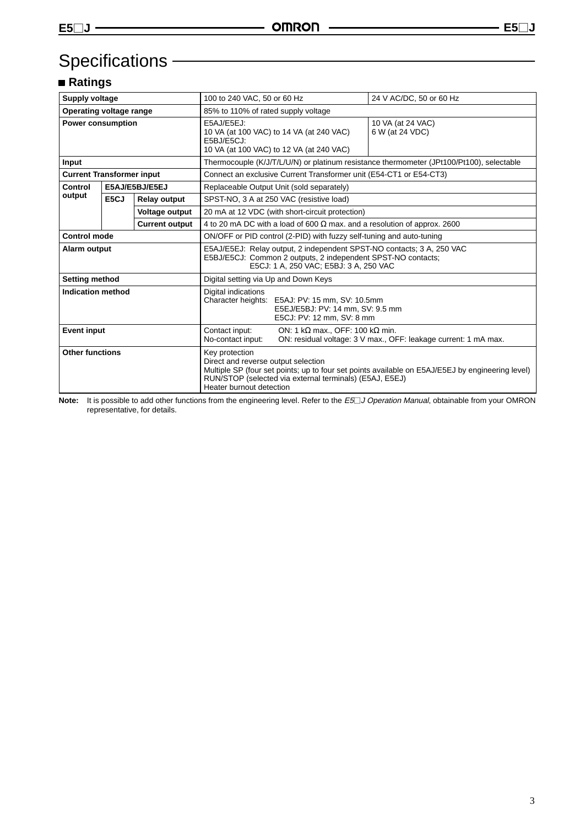# Specifications - **Constant Constant Constant Constant Constant Constant Constant Constant Constant Constant Constant Constant Constant Constant Constant Constant Constant Constant Constant Constant Constant Constant Consta**

# **Ratings**

| <b>Supply voltage</b>            |      |                       | 100 to 240 VAC, 50 or 60 Hz                                                                                                                                                     | 24 V AC/DC, 50 or 60 Hz                                                                          |  |  |
|----------------------------------|------|-----------------------|---------------------------------------------------------------------------------------------------------------------------------------------------------------------------------|--------------------------------------------------------------------------------------------------|--|--|
| Operating voltage range          |      |                       | 85% to 110% of rated supply voltage                                                                                                                                             |                                                                                                  |  |  |
| <b>Power consumption</b>         |      |                       | E5AJ/E5EJ:<br>10 VA (at 100 VAC) to 14 VA (at 240 VAC)<br>E5BJ/E5CJ:<br>10 VA (at 100 VAC) to 12 VA (at 240 VAC)                                                                | 10 VA (at 24 VAC)<br>6 W (at 24 VDC)                                                             |  |  |
| Input                            |      |                       | Thermocouple (K/J/T/L/U/N) or platinum resistance thermometer (JPt100/Pt100), selectable                                                                                        |                                                                                                  |  |  |
| <b>Current Transformer input</b> |      |                       | Connect an exclusive Current Transformer unit (E54-CT1 or E54-CT3)                                                                                                              |                                                                                                  |  |  |
| Control                          |      | E5AJ/E5BJ/E5EJ        | Replaceable Output Unit (sold separately)                                                                                                                                       |                                                                                                  |  |  |
| output                           | E5CJ | <b>Relay output</b>   | SPST-NO, 3 A at 250 VAC (resistive load)                                                                                                                                        |                                                                                                  |  |  |
| <b>Voltage output</b>            |      |                       | 20 mA at 12 VDC (with short-circuit protection)                                                                                                                                 |                                                                                                  |  |  |
|                                  |      | <b>Current output</b> | 4 to 20 mA DC with a load of 600 $\Omega$ max. and a resolution of approx. 2600                                                                                                 |                                                                                                  |  |  |
| <b>Control mode</b>              |      |                       |                                                                                                                                                                                 | ON/OFF or PID control (2-PID) with fuzzy self-tuning and auto-tuning                             |  |  |
| Alarm output                     |      |                       | E5AJ/E5EJ: Relay output, 2 independent SPST-NO contacts; 3 A, 250 VAC<br>E5BJ/E5CJ: Common 2 outputs, 2 independent SPST-NO contacts;<br>E5CJ: 1 A, 250 VAC; E5BJ: 3 A, 250 VAC |                                                                                                  |  |  |
| Setting method                   |      |                       | Digital setting via Up and Down Keys                                                                                                                                            |                                                                                                  |  |  |
| Indication method                |      |                       | Digital indications<br>Character heights:<br>E5AJ: PV: 15 mm, SV: 10.5mm<br>E5EJ/E5BJ: PV: 14 mm, SV: 9.5 mm<br>E5CJ: PV: 12 mm, SV: 8 mm                                       |                                                                                                  |  |  |
| <b>Event input</b>               |      |                       | ON: 1 k $\Omega$ max., OFF: 100 k $\Omega$ min.<br>Contact input:<br>ON: residual voltage: 3 V max., OFF: leakage current: 1 mA max.<br>No-contact input:                       |                                                                                                  |  |  |
| <b>Other functions</b>           |      |                       | Key protection<br>Direct and reverse output selection<br>RUN/STOP (selected via external terminals) (E5AJ, E5EJ)<br>Heater burnout detection                                    | Multiple SP (four set points; up to four set points available on E5AJ/E5EJ by engineering level) |  |  |

Note: It is possible to add other functions from the engineering level. Refer to the E5<sup>-</sup> Operation Manual, obtainable from your OMRON representative, for details.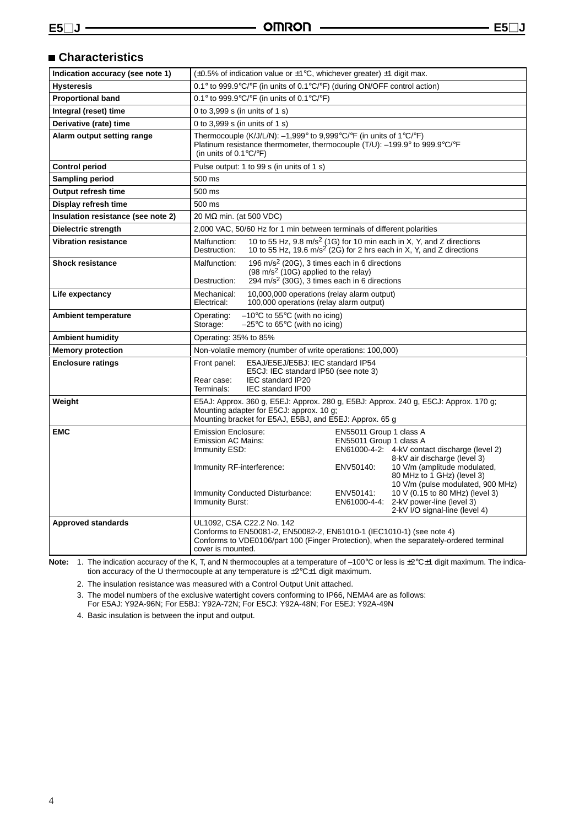# **Characteristics**

| Indication accuracy (see note 1)   | $(\pm 0.5\%$ of indication value or $\pm 1\degree$ C, whichever greater) $\pm 1$ digit max.                                                                                                                                                                                                                      |  |  |  |
|------------------------------------|------------------------------------------------------------------------------------------------------------------------------------------------------------------------------------------------------------------------------------------------------------------------------------------------------------------|--|--|--|
| <b>Hysteresis</b>                  | 0.1° to 999.9°C/°F (in units of 0.1°C/°F) (during ON/OFF control action)                                                                                                                                                                                                                                         |  |  |  |
| <b>Proportional band</b>           | 0.1° to 999.9°C/°F (in units of 0.1°C/°F)                                                                                                                                                                                                                                                                        |  |  |  |
| Integral (reset) time              | 0 to 3,999 s (in units of 1 s)                                                                                                                                                                                                                                                                                   |  |  |  |
| Derivative (rate) time             | 0 to 3,999 s (in units of 1 s)                                                                                                                                                                                                                                                                                   |  |  |  |
| Alarm output setting range         | Thermocouple (K/J/L/N): $-1,999^{\circ}$ to 9,999°C/°F (in units of 1°C/°F)<br>Platinum resistance thermometer, thermocouple (T/U): -199.9° to 999.9°C/°F<br>(in units of $0.1^{\circ}$ C/ $^{\circ}$ F)                                                                                                         |  |  |  |
| <b>Control period</b>              | Pulse output: 1 to 99 s (in units of 1 s)                                                                                                                                                                                                                                                                        |  |  |  |
| Sampling period                    | 500 ms                                                                                                                                                                                                                                                                                                           |  |  |  |
| Output refresh time                | 500 ms                                                                                                                                                                                                                                                                                                           |  |  |  |
| Display refresh time               | 500 ms                                                                                                                                                                                                                                                                                                           |  |  |  |
| Insulation resistance (see note 2) | 20 MΩ min. (at 500 VDC)                                                                                                                                                                                                                                                                                          |  |  |  |
| Dielectric strength                | 2,000 VAC, 50/60 Hz for 1 min between terminals of different polarities                                                                                                                                                                                                                                          |  |  |  |
| <b>Vibration resistance</b>        | 10 to 55 Hz, 9.8 m/s <sup>2</sup> (1G) for 10 min each in X, Y, and Z directions<br>Malfunction:<br>10 to 55 Hz, 19.6 $m/s^2$ (2G) for 2 hrs each in X, Y, and Z directions<br>Destruction:                                                                                                                      |  |  |  |
| <b>Shock resistance</b>            | 196 m/s <sup>2</sup> (20G), 3 times each in 6 directions<br>Malfunction:<br>$(98 \text{ m/s}^2 \text{ (10G)}$ applied to the relay)<br>$294$ m/s <sup>2</sup> (30G), 3 times each in 6 directions<br>Destruction:                                                                                                |  |  |  |
| Life expectancy                    | 10,000,000 operations (relay alarm output)<br>Mechanical:<br>100,000 operations (relay alarm output)<br>Electrical:                                                                                                                                                                                              |  |  |  |
| <b>Ambient temperature</b>         | $-10^{\circ}$ C to 55 $^{\circ}$ C (with no icing)<br>Operating:<br>$-25^{\circ}$ C to 65 $^{\circ}$ C (with no icing)<br>Storage:                                                                                                                                                                               |  |  |  |
| <b>Ambient humidity</b>            | Operating: 35% to 85%                                                                                                                                                                                                                                                                                            |  |  |  |
| <b>Memory protection</b>           | Non-volatile memory (number of write operations: 100,000)                                                                                                                                                                                                                                                        |  |  |  |
| <b>Enclosure ratings</b>           | E5AJ/E5EJ/E5BJ: IEC standard IP54<br>Front panel:<br>E5CJ: IEC standard IP50 (see note 3)<br>IEC standard IP20<br>Rear case:<br>Terminals:<br><b>IEC standard IP00</b>                                                                                                                                           |  |  |  |
| Weight                             | E5AJ: Approx. 360 g, E5EJ: Approx. 280 g, E5BJ: Approx. 240 g, E5CJ: Approx. 170 g;<br>Mounting adapter for E5CJ: approx. 10 g;<br>Mounting bracket for E5AJ, E5BJ, and E5EJ: Approx. 65 g                                                                                                                       |  |  |  |
| <b>EMC</b>                         | <b>Emission Enclosure:</b><br>EN55011 Group 1 class A<br>Emission AC Mains:<br>EN55011 Group 1 class A<br>Immunity ESD:<br>EN61000-4-2: 4-kV contact discharge (level 2)<br>8-kV air discharge (level 3)<br>10 V/m (amplitude modulated,<br>Immunity RF-interference:<br>ENV50140:<br>80 MHz to 1 GHz) (level 3) |  |  |  |
|                                    | 10 V/m (pulse modulated, 900 MHz)<br>10 V (0.15 to 80 MHz) (level 3)<br><b>Immunity Conducted Disturbance:</b><br>ENV50141:<br>Immunity Burst:<br>EN61000-4-4:<br>2-kV power-line (level 3)<br>2-kV I/O signal-line (level 4)                                                                                    |  |  |  |
| <b>Approved standards</b>          | UL1092, CSA C22.2 No. 142<br>Conforms to EN50081-2, EN50082-2, EN61010-1 (IEC1010-1) (see note 4)<br>Conforms to VDE0106/part 100 (Finger Protection), when the separately-ordered terminal<br>cover is mounted.                                                                                                 |  |  |  |

Note: 1. The indication accuracy of the K, T, and N thermocouples at a temperature of  $-100^{\circ}$ C or less is  $\pm 2^{\circ}$ C $\pm 1$  digit maximum. The indication accuracy of the U thermocouple at any temperature is  $\pm 2^{\circ}$ C $\pm 1$  digit maximum.

2. The insulation resistance was measured with a Control Output Unit attached.

3. The model numbers of the exclusive watertight covers conforming to IP66, NEMA4 are as follows:

For E5AJ: Y92A-96N; For E5BJ: Y92A-72N; For E5CJ: Y92A-48N; For E5EJ: Y92A-49N

4. Basic insulation is between the input and output.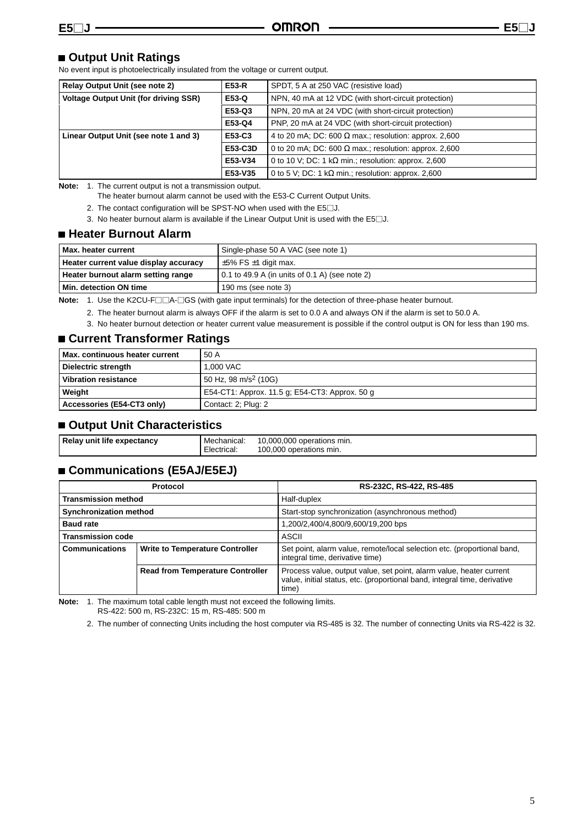### **Output Unit Ratings**

No event input is photoelectrically insulated from the voltage or current output.

| <b>Relay Output Unit (see note 2)</b>        | <b>E53-R</b>                                                            | SPDT, 5 A at 250 VAC (resistive load)                        |
|----------------------------------------------|-------------------------------------------------------------------------|--------------------------------------------------------------|
| <b>Voltage Output Unit (for driving SSR)</b> | E53-Q                                                                   | NPN, 40 mA at 12 VDC (with short-circuit protection)         |
|                                              | E53-Q3                                                                  | NPN, 20 mA at 24 VDC (with short-circuit protection)         |
|                                              | E53-Q4                                                                  | PNP, 20 mA at 24 VDC (with short-circuit protection)         |
| Linear Output Unit (see note 1 and 3)        | E53-C3                                                                  | 4 to 20 mA; DC: 600 $\Omega$ max.; resolution: approx. 2,600 |
|                                              | E53-C3D<br>0 to 20 mA; DC: 600 $\Omega$ max.; resolution: approx. 2,600 |                                                              |
|                                              | E53-V34                                                                 | 0 to 10 V; DC: 1 k $\Omega$ min.; resolution: approx. 2,600  |
|                                              | E53-V35                                                                 | 0 to 5 V; DC: 1 k $\Omega$ min.; resolution: approx. 2,600   |

**Note:** 1. The current output is not a transmission output.

The heater burnout alarm cannot be used with the E53-C Current Output Units.

- 2. The contact configuration will be SPST-NO when used with the  $E5\square J$ .
- 3. No heater burnout alarm is available if the Linear Output Unit is used with the  $E5\square J$ .

#### **Heater Burnout Alarm**

| I Max. heater current                 | Single-phase 50 A VAC (see note 1)                     |
|---------------------------------------|--------------------------------------------------------|
| Heater current value display accuracy | $\pm$ 5% FS $\pm$ 1 digit max.                         |
| Heater burnout alarm setting range    | $\vert$ 0.1 to 49.9 A (in units of 0.1 A) (see note 2) |
| Min. detection ON time                | $190$ ms (see note 3)                                  |

**Note:** 1. Use the K2CU-F□□A-□GS (with gate input terminals) for the detection of three-phase heater burnout.

- 2. The heater burnout alarm is always OFF if the alarm is set to 0.0 A and always ON if the alarm is set to 50.0 A.
- 3. No heater burnout detection or heater current value measurement is possible if the control output is ON for less than 190 ms.

### **Current Transformer Ratings**

| Max. continuous heater current | 50 A                                           |
|--------------------------------|------------------------------------------------|
| Dielectric strength            | 1.000 VAC                                      |
| <b>Vibration resistance</b>    | 50 Hz, 98 m/s <sup>2</sup> (10G)               |
| Weight                         | E54-CT1: Approx. 11.5 g; E54-CT3: Approx. 50 g |
| Accessories (E54-CT3 only)     | Contact: 2; Plug: 2                            |

#### **Output Unit Characteristics**

| Relay unit life expectancy | Mechanical: | 10,000,000 operations min. |
|----------------------------|-------------|----------------------------|
|                            | Electrical: | 100,000 operations min.    |

# **Communications (E5AJ/E5EJ)**

|                               | Protocol                                | RS-232C, RS-422, RS-485                                                                                                                                   |
|-------------------------------|-----------------------------------------|-----------------------------------------------------------------------------------------------------------------------------------------------------------|
| <b>Transmission method</b>    |                                         | Half-duplex                                                                                                                                               |
| <b>Synchronization method</b> |                                         | Start-stop synchronization (asynchronous method)                                                                                                          |
| <b>Baud rate</b>              |                                         | 1,200/2,400/4,800/9,600/19,200 bps                                                                                                                        |
| <b>Transmission code</b>      |                                         | ASCII                                                                                                                                                     |
| <b>Communications</b>         | <b>Write to Temperature Controller</b>  | Set point, alarm value, remote/local selection etc. (proportional band,<br>integral time, derivative time)                                                |
|                               | <b>Read from Temperature Controller</b> | Process value, output value, set point, alarm value, heater current<br>value, initial status, etc. (proportional band, integral time, derivative<br>time) |

**Note:** 1. The maximum total cable length must not exceed the following limits. RS-422: 500 m, RS-232C: 15 m, RS-485: 500 m

2. The number of connecting Units including the host computer via RS-485 is 32. The number of connecting Units via RS-422 is 32.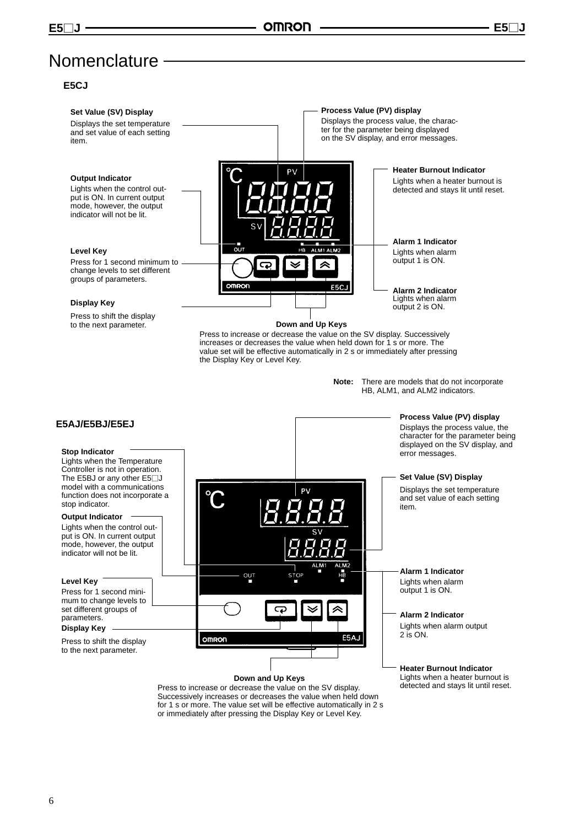# Nomenclature -

#### **E5CJ**

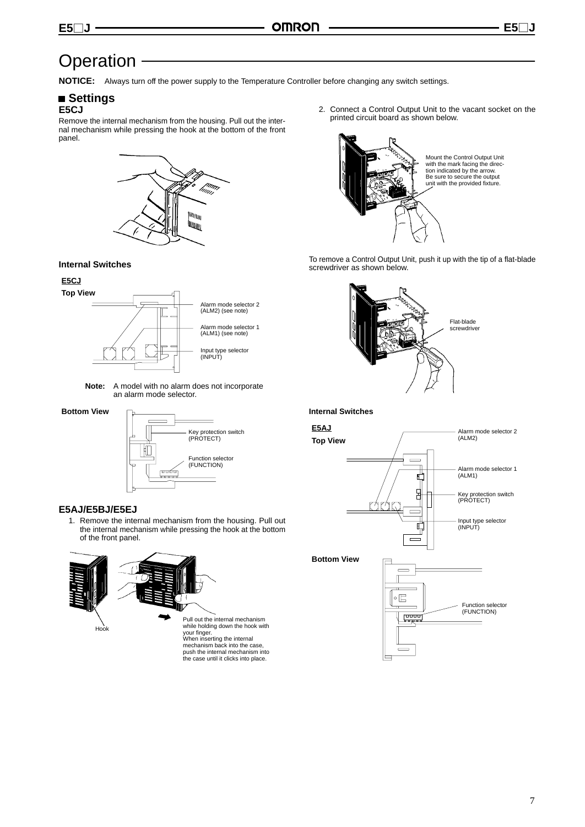# Operation -

**NOTICE:** Always turn off the power supply to the Temperature Controller before changing any switch settings.

#### **Settings E5CJ**

Remove the internal mechanism from the housing. Pull out the internal mechanism while pressing the hook at the bottom of the front panel.



#### **Internal Switches**

#### **E5CJ**



**Note:** A model with no alarm does not incorporate an alarm mode selector.

**Bottom View**



#### **E5AJ/E5BJ/E5EJ**

1. Remove the internal mechanism from the housing. Pull out the internal mechanism while pressing the hook at the bottom of the front panel.



Pull out the internal mechanism while holding down the hook with your finger. When inserting the internal mechanism back into the case, push the internal mechanism into the case until it clicks into place.

2. Connect a Control Output Unit to the vacant socket on the printed circuit board as shown below.



To remove a Control Output Unit, push it up with the tip of a flat-blade screwdriver as shown below.



#### **Internal Switches**

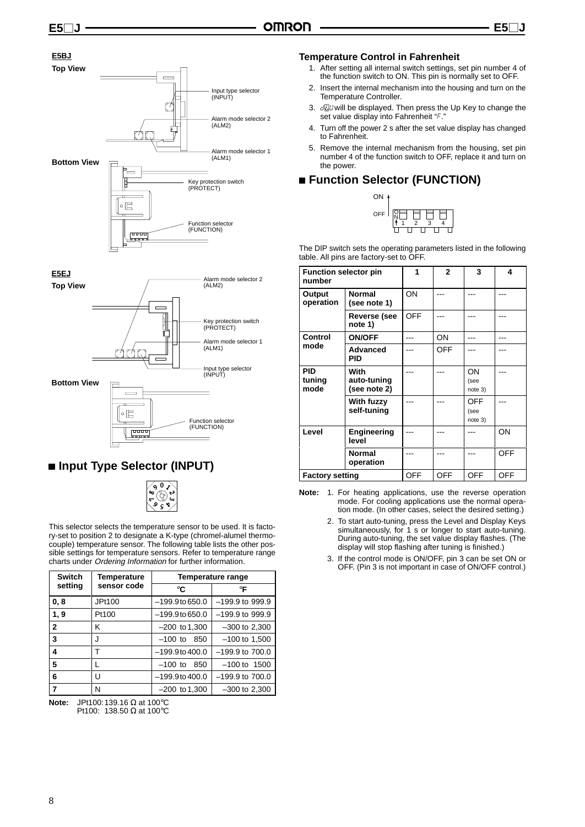#### **E5BJ**





# **Input Type Selector (INPUT)**



This selector selects the temperature sensor to be used. It is factory-set to position 2 to designate a K-type (chromel-alumel thermocouple) temperature sensor. The following table lists the other possible settings for temperature sensors. Refer to temperature range charts under Ordering Information for further information.

| <b>Switch</b>    | <b>Temperature</b> | <b>Temperature range</b> |                     |  |
|------------------|--------------------|--------------------------|---------------------|--|
| setting          | sensor code        | °C                       | $\circ$ F           |  |
| 0, 8             | JPt100             | $-199.9$ to 650.0        | $-199.9$ to 999.9   |  |
| 1, 9             | Pt100              | $-199.9$ to 650.0        | $-199.9$ to 999.9   |  |
| $\overline{2}$   | κ                  | $-200$ to 1,300          | $-300$ to 2,300     |  |
| 3                | J                  | $-100$ to<br>850         | $-100$ to 1,500     |  |
| $\boldsymbol{4}$ |                    | $-199.9$ to $400.0$      | $-199.9$ to $700.0$ |  |
| 5                |                    | $-100$ to<br>850         | $-100$ to $1500$    |  |
| 6                | U                  | $-199.9$ to $400.0$      | $-199.9$ to $700.0$ |  |
|                  | N                  | $-200$ to 1.300          | $-300$ to 2,300     |  |

**Note:** JPt100:139.16 Ω at 100°C Pt100: 138.50 Ω at 100°C

#### **Temperature Control in Fahrenheit**

- 1. After setting all internal switch settings, set pin number 4 of the function switch to ON. This pin is normally set to OFF.
- 2. Insert the internal mechanism into the housing and turn on the Temperature Controller.
- 3.  $d\vec{U}$  will be displayed. Then press the Up Key to change the set value display into Fahrenheit "F."
- 4. Turn off the power 2 s after the set value display has changed to Fahrenheit.
- 5. Remove the internal mechanism from the housing, set pin number 4 of the function switch to OFF, replace it and turn on the power.

# **Function Selector (FUNCTION)**



The DIP switch sets the operating parameters listed in the following table. All pins are factory-set to OFF.

| <b>Function selector pin</b><br>number |                                     |            | $\mathbf{2}$ | 3                             | 4          |
|----------------------------------------|-------------------------------------|------------|--------------|-------------------------------|------------|
| Output<br>operation                    | <b>Normal</b><br>(see note 1)       | ON         |              |                               |            |
|                                        | Reverse (see<br>note 1)             | OFF        |              |                               |            |
| Control                                | <b>ON/OFF</b>                       |            | ON           |                               |            |
| mode                                   | <b>Advanced</b><br><b>PID</b>       |            | <b>OFF</b>   |                               |            |
| <b>PID</b><br>tuning<br>mode           | With<br>auto-tuning<br>(see note 2) |            |              | ON<br>(see<br>note 3)         |            |
|                                        | With fuzzy<br>self-tuning           |            |              | <b>OFF</b><br>(see<br>note 3) |            |
| Level                                  | Engineering<br>level                |            |              |                               | ON         |
|                                        | <b>Normal</b><br>operation          |            |              |                               | <b>OFF</b> |
| <b>Factory setting</b>                 |                                     | <b>OFF</b> | <b>OFF</b>   | <b>OFF</b>                    | <b>OFF</b> |

**Note:** 1. For heating applications, use the reverse operation mode. For cooling applications use the normal operation mode. (In other cases, select the desired setting.)

- 2. To start auto-tuning, press the Level and Display Keys simultaneously, for 1 s or longer to start auto-tuning. During auto-tuning, the set value display flashes. (The display will stop flashing after tuning is finished.)
- 3. If the control mode is ON/OFF, pin 3 can be set ON or OFF. (Pin 3 is not important in case of ON/OFF control.)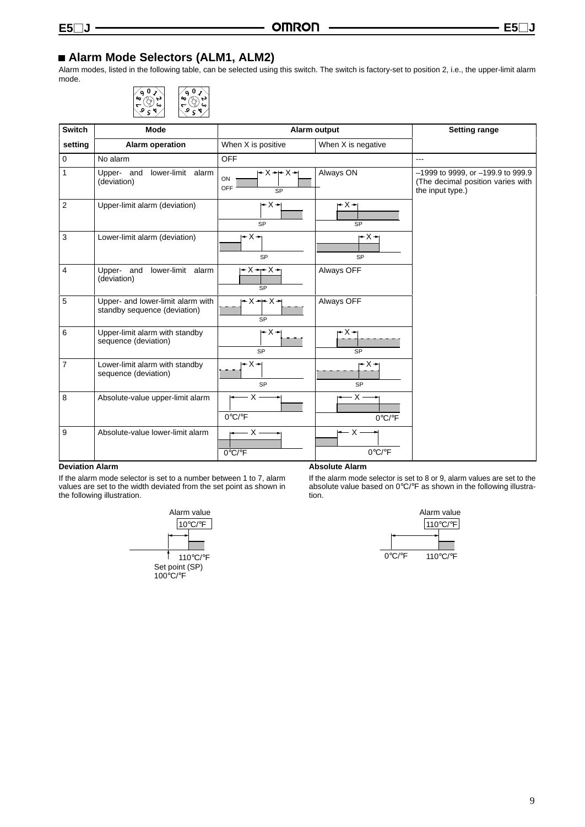# **Alarm Mode Selectors (ALM1, ALM2)**

Alarm modes, listed in the following table, can be selected using this switch. The switch is factory-set to position 2, i.e., the upper-limit alarm mode.



| Switch         | Mode                                                              |                                                     | Alarm output                         | <b>Setting range</b>                                                                       |
|----------------|-------------------------------------------------------------------|-----------------------------------------------------|--------------------------------------|--------------------------------------------------------------------------------------------|
| setting        | <b>Alarm operation</b>                                            | When X is positive                                  | When X is negative                   |                                                                                            |
| $\mathbf 0$    | No alarm                                                          | <b>OFF</b>                                          |                                      | ---                                                                                        |
| 1              | Upper- and<br>lower-limit alarm<br>(deviation)                    | ≁X→ ≁X→ <br>ON<br>OFF<br><b>SP</b>                  | Always ON                            | -1999 to 9999, or -199.9 to 999.9<br>(The decimal position varies with<br>the input type.) |
| 2              | Upper-limit alarm (deviation)                                     | l+X⊣<br>SP                                          | $- X - 1$<br>SP                      |                                                                                            |
| 3              | Lower-limit alarm (deviation)                                     | $- x - 1$<br>SP                                     | $- X - 1$<br>SP                      |                                                                                            |
| 4              | Upper- and<br>lower-limit alarm<br>(deviation)                    | $+X + X +$<br><b>SP</b>                             | Always OFF                           |                                                                                            |
| 5              | Upper- and lower-limit alarm with<br>standby sequence (deviation) | $\rightarrow$ X $\rightarrow$ X $\rightarrow$<br>SP | Always OFF                           |                                                                                            |
| 6              | Upper-limit alarm with standby<br>sequence (deviation)            | l+X⊣<br>SP                                          | $- x - 1$<br>SP                      |                                                                                            |
| $\overline{7}$ | Lower-limit alarm with standby<br>sequence (deviation)            | – X →<br><b>SP</b>                                  | r X →<br>SP                          |                                                                                            |
| 8              | Absolute-value upper-limit alarm                                  | $X -$<br>$0^{\circ}C/{^{\circ}F}$                   | – x -<br>$0^{\circ}$ C/ $^{\circ}$ F |                                                                                            |
| 9              | Absolute-value lower-limit alarm                                  | – X -<br>$0^{\circ}$ C/ $^{\circ}$ F                | ← X -<br>$0^{\circ}C/\circ F$        |                                                                                            |

#### **Deviation Alarm**

If the alarm mode selector is set to a number between 1 to 7, alarm values are set to the width deviated from the set point as shown in the following illustration.



#### **Absolute Alarm**

If the alarm mode selector is set to 8 or 9, alarm values are set to the absolute value based on 0°C/°F as shown in the following illustration.

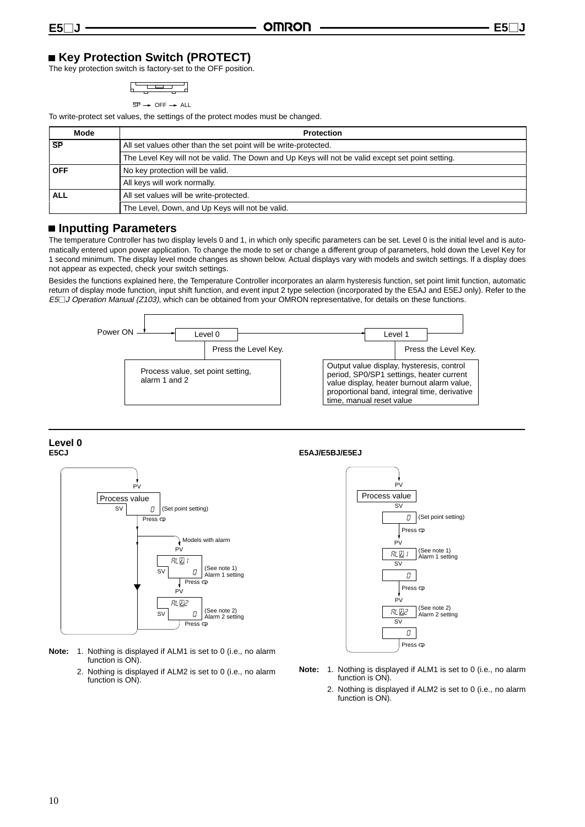# ■ Key Protection Switch (PROTECT)

The key protection switch is factory-set to the OFF position.

$$
\begin{array}{|c|c|c|c|c|}\hline \quad \quad & \quad \quad & \quad \quad & \quad \quad \\ \hline \quad \quad & \quad \quad & \quad \quad & \quad \quad \\ \hline \quad \quad & \quad \quad & \quad \quad & \quad \quad \\ \hline \end{array}
$$

$$
\overline{\text{SP}} \rightarrow \text{OFF} \rightarrow \text{ALL}
$$

To write-protect set values, the settings of the protect modes must be changed.

| Mode       | <b>Protection</b>                                                                                 |  |
|------------|---------------------------------------------------------------------------------------------------|--|
| <b>SP</b>  | All set values other than the set point will be write-protected.                                  |  |
|            | The Level Key will not be valid. The Down and Up Keys will not be valid except set point setting. |  |
| <b>OFF</b> | No key protection will be valid.                                                                  |  |
|            | All keys will work normally.                                                                      |  |
| ALL        | All set values will be write-protected.                                                           |  |
|            | The Level, Down, and Up Keys will not be valid.                                                   |  |

### **Inputting Parameters**

The temperature Controller has two display levels 0 and 1, in which only specific parameters can be set. Level 0 is the initial level and is automatically entered upon power application. To change the mode to set or change a different group of parameters, hold down the Level Key for 1 second minimum. The display level mode changes as shown below. Actual displays vary with models and switch settings. If a display does not appear as expected, check your switch settings.

Besides the functions explained here, the Temperature Controller incorporates an alarm hysteresis function, set point limit function, automatic return of display mode function, input shift function, and event input 2 type selection (incorporated by the E5AJ and E5EJ only). Refer to the E5<sup>1</sup> J Operation Manual (Z103), which can be obtained from your OMRON representative, for details on these functions.



**Level 0 E5CJ**



**Note:** 1. Nothing is displayed if ALM1 is set to 0 (i.e., no alarm function is ON).

> 2. Nothing is displayed if ALM2 is set to 0 (i.e., no alarm function is ON).

#### **E5AJ/E5BJ/E5EJ**



- **Note:** 1. Nothing is displayed if ALM1 is set to 0 (i.e., no alarm function is ON).
	- 2. Nothing is displayed if ALM2 is set to 0 (i.e., no alarm function is ON).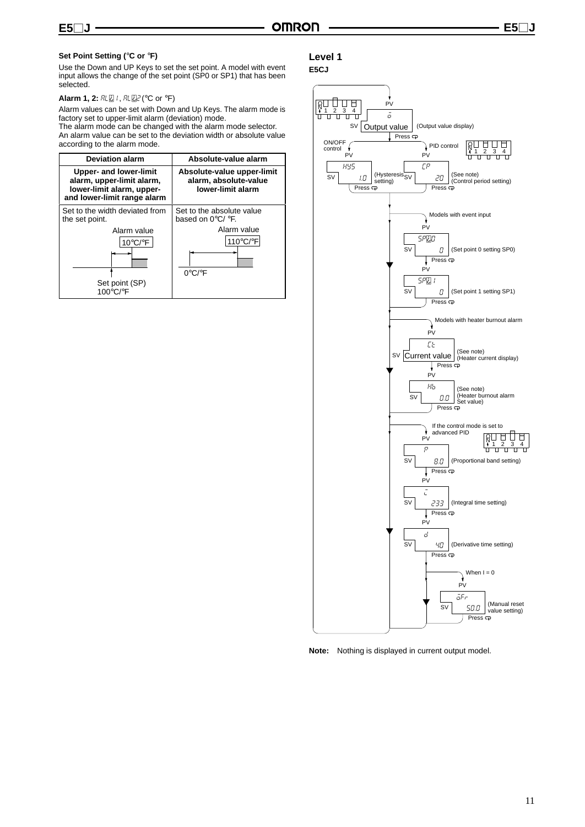#### **Set Point Setting (**°**C or** °**F)**

Use the Down and UP Keys to set the set point. A model with event input allows the change of the set point (SP0 or SP1) that has been selected.

#### **Alarm 1, 2: RL 2 /, RL 22 (°C or °F)**

Alarm values can be set with Down and Up Keys. The alarm mode is factory set to upper-limit alarm (deviation) mode.

The alarm mode can be changed with the alarm mode selector. An alarm value can be set to the deviation width or absolute value according to the alarm mode.

| <b>Deviation alarm</b>                                                                                                 | Absolute-value alarm                                                                          |
|------------------------------------------------------------------------------------------------------------------------|-----------------------------------------------------------------------------------------------|
| <b>Upper- and lower-limit</b><br>alarm, upper-limit alarm,<br>lower-limit alarm, upper-<br>and lower-limit range alarm | Absolute-value upper-limit<br>alarm, absolute-value<br>lower-limit alarm                      |
| Set to the width deviated from<br>the set point.<br>Alarm value<br>$10^{\circ}$ C/ $^{\circ}$ F                        | Set to the absolute value<br>based on $0^{\circ}$ C/ $^{\circ}$ F.<br>Alarm value<br>110°C/°F |
| Set point (SP)<br>100°C/°F                                                                                             | $0^{\circ}$ C/ $^{\circ}$ F                                                                   |

#### **Level 1**

#### **E5CJ**



**Note:** Nothing is displayed in current output model.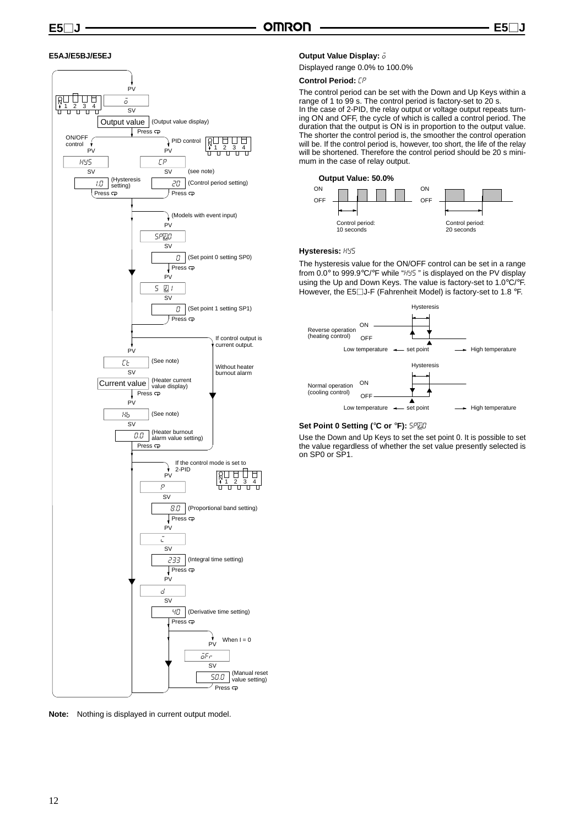#### **E5AJ/E5BJ/E5EJ**



**Note:** Nothing is displayed in current output model.

#### **Output Value Display:**  $\overline{o}$

Displayed range 0.0% to 100.0%

### **Control Period:**  $LP$

The control period can be set with the Down and Up Keys within a range of 1 to 99 s. The control period is factory-set to 20 s. In the case of 2-PID, the relay output or voltage output repeats turning ON and OFF, the cycle of which is called a control period. The duration that the output is ON is in proportion to the output value. The shorter the control period is, the smoother the control operation will be. If the control period is, however, too short, the life of the relay will be shortened. Therefore the control period should be 20 s minimum in the case of relay output.





#### **Hysteresis:** hys

The hysteresis value for the ON/OFF control can be set in a range from 0.0° to 999.9°C/°F while "HY5" is displayed on the PV display using the Up and Down Keys. The value is factory-set to 1.0°C/°F. However, the E5 $\Box$ J-F (Fahrenheit Model) is factory-set to 1.8 °F.



#### **Set Point 0 Setting (°C or °F): 5PDD**

Use the Down and Up Keys to set the set point 0. It is possible to set the value regardless of whether the set value presently selected is on SP0 or SP1.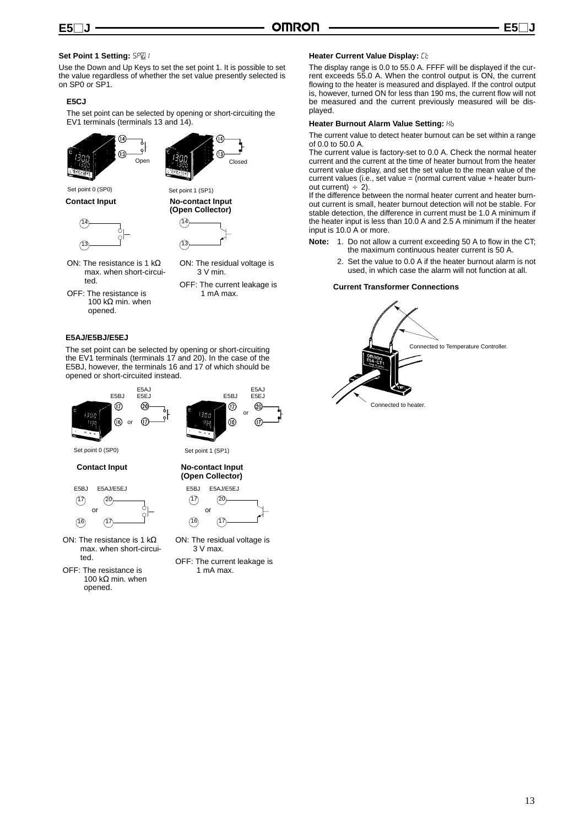#### **Set Point 1 Setting: 5PD /**

Use the Down and Up Keys to set the set point 1. It is possible to set the value regardless of whether the set value presently selected is on SP0 or SP1.

#### **E5CJ**

The set point can be selected by opening or short-circuiting the EV1 terminals (terminals 13 and 14).





Set point 0 (SP0) Set point 1 (SP1)

**Contact Input No-contact Input** 





ON: The residual voltage is 3 V min.

- ON: The resistance is 1 kΩ max. when short-circuited.
- OFF: The resistance is 100 kΩ min. when opened.
- OFF: The current leakage is 1 mA max.

#### **E5AJ/E5BJ/E5EJ**

The set point can be selected by opening or short-circuiting the EV1 terminals (terminals 17 and 20). In the case of the E5BJ, however, the terminals 16 and 17 of which should be opened or short-circuited instead.



Set point 0 (SP0)

**Contact Input No-contact Input**





- ON: The resistance is 1 kΩ max. when short-circuited.
- OFF: The resistance is 100 kΩ min. when opened.



E5BJ

E5AJ E5EJ

Set point 1 (SP1)

**(Open Collector)**



ON: The residual voltage is 3 V max.

OFF: The current leakage is 1 mA max.

#### **Heater Current Value Display: [b]**

The display range is 0.0 to 55.0 A. FFFF will be displayed if the current exceeds 55.0 A. When the control output is ON, the current flowing to the heater is measured and displayed. If the control output is, however, turned ON for less than 190 ms, the current flow will not be measured and the current previously measured will be displayed.

#### **Heater Burnout Alarm Value Setting:** hb

The current value to detect heater burnout can be set within a range of 0.0 to 50.0 A.

The current value is factory-set to 0.0 A. Check the normal heater current and the current at the time of heater burnout from the heater current value display, and set the set value to the mean value of the current values (i.e., set value = (normal current value + heater burnout current)  $\div$  2).

If the difference between the normal heater current and heater burnout current is small, heater burnout detection will not be stable. For stable detection, the difference in current must be 1.0 A minimum if the heater input is less than 10.0 A and 2.5 A minimum if the heater input is 10.0 A or more.

- **Note:** 1. Do not allow a current exceeding 50 A to flow in the CT; the maximum continuous heater current is 50 A.
	- 2. Set the value to 0.0 A if the heater burnout alarm is not used, in which case the alarm will not function at all.

#### **Current Transformer Connections**

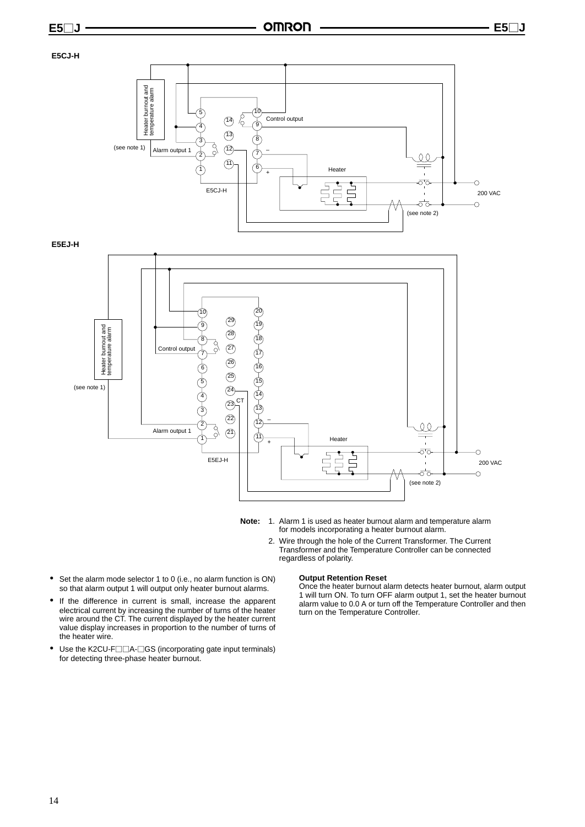#### **E5CJ-H**



**E5EJ-H**



- 
- **Note:** 1. Alarm 1 is used as heater burnout alarm and temperature alarm for models incorporating a heater burnout alarm.
	- 2. Wire through the hole of the Current Transformer. The Current Transformer and the Temperature Controller can be connected regardless of polarity.
- Set the alarm mode selector 1 to 0 (i.e., no alarm function is ON) so that alarm output 1 will output only heater burnout alarms.
- If the difference in current is small, increase the apparent electrical current by increasing the number of turns of the heater wire around the CT. The current displayed by the heater current value display increases in proportion to the number of turns of the heater wire.
- Use the K2CU-F $\Box$ A- $\Box$ GS (incorporating gate input terminals) for detecting three-phase heater burnout.

#### **Output Retention Reset**

Once the heater burnout alarm detects heater burnout, alarm output 1 will turn ON. To turn OFF alarm output 1, set the heater burnout alarm value to 0.0 A or turn off the Temperature Controller and then turn on the Temperature Controller.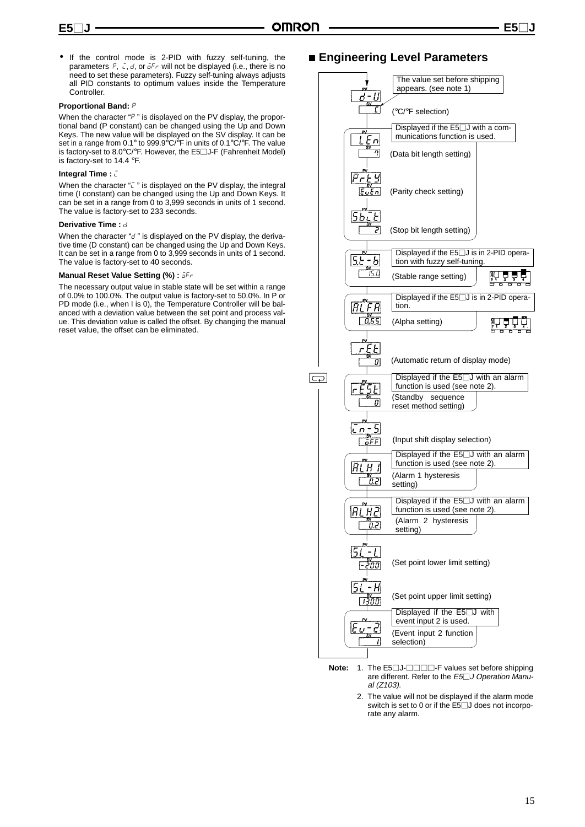• If the control mode is 2-PID with fuzzy self-tuning, the parameters  $P_1$ ,  $\zeta$ ,  $d$ , or  $\bar{d}F_r$  will not be displayed (i.e., there is no need to set these parameters). Fuzzy self-tuning always adjusts all PID constants to optimum values inside the Temperature **Controller** 

#### **Proportional Band: P**

When the character " $P$ " is displayed on the PV display, the proportional band (P constant) can be changed using the Up and Down Keys. The new value will be displayed on the SV display. It can be set in a range from 0.1° to 999.9°C/ $\overline{P}$  in units of 0.1°C/ $\overline{P}$ . The value is factory-set to 8.0 $\degree$ C/ $\degree$ F. However, the E5 $\Box$ J-F (Fahrenheit Model) is factory-set to 14.4 °F.

#### **Integral Time :**  $\bar{C}$

When the character " $\bar{c}$ " is displayed on the PV display, the integral time (I constant) can be changed using the Up and Down Keys. It can be set in a range from 0 to 3,999 seconds in units of 1 second. The value is factory-set to 233 seconds.

#### **Derivative Time :** d

When the character "d" is displayed on the PV display, the derivative time (D constant) can be changed using the Up and Down Keys. It can be set in a range from 0 to 3,999 seconds in units of 1 second. The value is factory-set to 40 seconds.

#### **Manual Reset Value Setting (%):**  $\delta Fr$

The necessary output value in stable state will be set within a range of 0.0% to 100.0%. The output value is factory-set to 50.0%. In P or PD mode (i.e., when I is 0), the Temperature Controller will be balanced with a deviation value between the set point and process value. This deviation value is called the offset. By changing the manual reset value, the offset can be eliminated.

### **Engineering Level Parameters**



- **Note:** 1. The E5□J-□□□F values set before shipping are different. Refer to the  $E5\Box J$  Operation Manual (Z103).
	- 2. The value will not be displayed if the alarm mode switch is set to 0 or if the  $E5\overline{\smash{\big)}\smash{\big]}$  does not incorporate any alarm.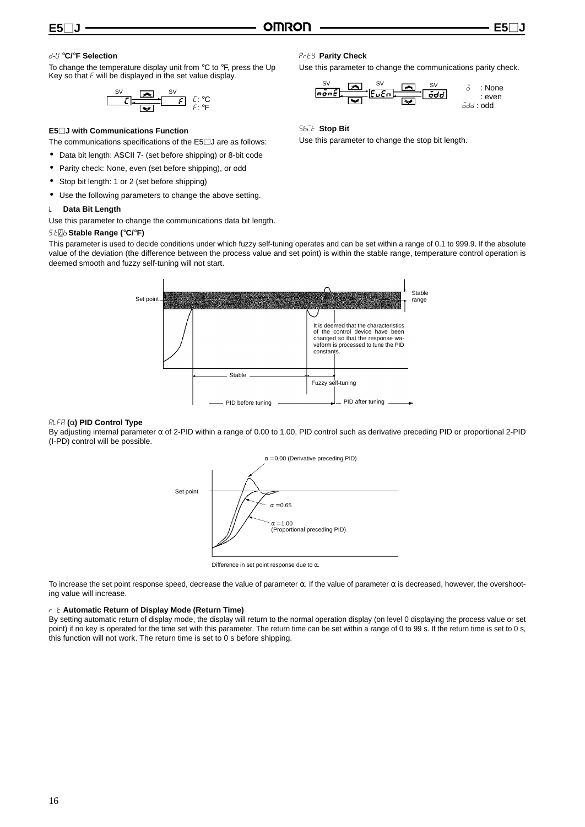#### d-u °**C/**°**F Selection**

To change the temperature display unit from  $\mathrm{C}$  to  $\mathrm{C}$ F, press the Up Key so that  $F$  will be displayed in the set value display.

$$
\begin{array}{|c|c|c|c|}\hline & \text{S} & \text{S} & \text{C} \\ \hline & \text{C} & \text{C} & \text{C} \\ \hline & \text{C} & \text{C} & \text{C} \\ \hline \end{array} \hspace{0.2cm} \begin{array}{c} \text{S} \vee & \text{C} & \text{C} \\ \text{C} & \text{C} & \text{C} \\ \text{C} & \text{C} & \text{C} \\ \hline \end{array}
$$

#### **E5J with Communications Function**

The communications specifications of the  $E5\square J$  are as follows:

- Data bit length: ASCII 7- (set before shipping) or 8-bit code
- Parity check: None, even (set before shipping), or odd
- Stop bit length: 1 or 2 (set before shipping)
- Use the following parameters to change the above setting.

#### **Data Bit Length**

Use this parameter to change the communications data bit length.

#### s.tb **Stable Range (**°**C/**°**F)**

This parameter is used to decide conditions under which fuzzy self-tuning operates and can be set within a range of 0.1 to 999.9. If the absolute value of the deviation (the difference between the process value and set point) is within the stable range, temperature control operation is deemed smooth and fuzzy self-tuning will not start.



#### alfa **(**α**) PID Control Type**

By adjusting internal parameter  $\alpha$  of 2-PID within a range of 0.00 to 1.00, PID control such as derivative preceding PID or proportional 2-PID (I-PD) control will be possible.



Difference in set point response due to  $\alpha$ .

To increase the set point response speed, decrease the value of parameter α. If the value of parameter α is decreased, however, the overshooting value will increase.

#### ret **Automatic Return of Display Mode (Return Time)**

By setting automatic return of display mode, the display will return to the normal operation display (on level 0 displaying the process value or set point) if no key is operated for the time set with this parameter. The return time can be set within a range of 0 to 99 s. If the return time is set to 0 s, this function will not work. The return time is set to 0 s before shipping.

#### prty **Parity Check**

Use this parameter to change the communications parity check.



sbit **Stop Bit**

Use this parameter to change the stop bit length.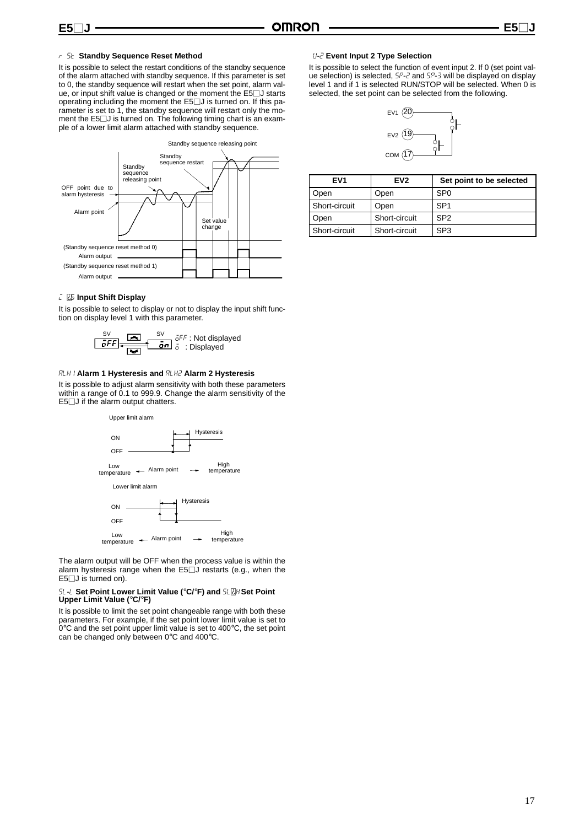#### **E5**-

#### rest **Standby Sequence Reset Method**

It is possible to select the restart conditions of the standby sequence of the alarm attached with standby sequence. If this parameter is set to 0, the standby sequence will restart when the set point, alarm value, or input shift value is changed or the moment the  $E5\square J$  starts operating including the moment the E5□J is turned on. If this parameter is set to 1, the standby sequence will restart only the moment the  $E5$ . I is turned on. The following timing chart is an example of a lower limit alarm attached with standby sequence.



#### *i*  $\overline{25}$  Input Shift Display

It is possible to select to display or not to display the input shift function on display level 1 with this parameter.



#### alh1 **Alarm 1 Hysteresis and** alh2 **Alarm 2 Hysteresis**

It is possible to adjust alarm sensitivity with both these parameters within a range of 0.1 to 999.9. Change the alarm sensitivity of the  $E5$  J if the alarm output chatters.



The alarm output will be OFF when the process value is within the alarm hysteresis range when the E5<sup>-</sup>J restarts (e.g., when the  $E5$  J is turned on).

# sl-l **Set Point Lower Limit Value (**°**C/**°**F) and** slh**Set Point Upper Limit Value (**°**C/**°**F)**

It is possible to limit the set point changeable range with both these parameters. For example, if the set point lower limit value is set to 0°C and the set point upper limit value is set to 400°C, the set point can be changed only between 0°C and 400°C.

#### eu-2 **Event Input 2 Type Selection**

It is possible to select the function of event input 2. If 0 (set point valwho possible to select the fametion of stem input  $\Sigma$ . If  $\sigma$  (see point variable selection) is selected,  $5P$ -2 and  $5P$ -3 will be displayed on display level 1 and if 1 is selected RUN/STOP will be selected. When 0 is selected, the set point can be selected from the following.



| EV <sub>1</sub> | EV <sub>2</sub> | Set point to be selected |
|-----------------|-----------------|--------------------------|
| Open            | Open            | SP <sub>0</sub>          |
| Short-circuit   | Open            | SP <sub>1</sub>          |
| Open            | Short-circuit   | SP <sub>2</sub>          |
| Short-circuit   | Short-circuit   | SP <sub>3</sub>          |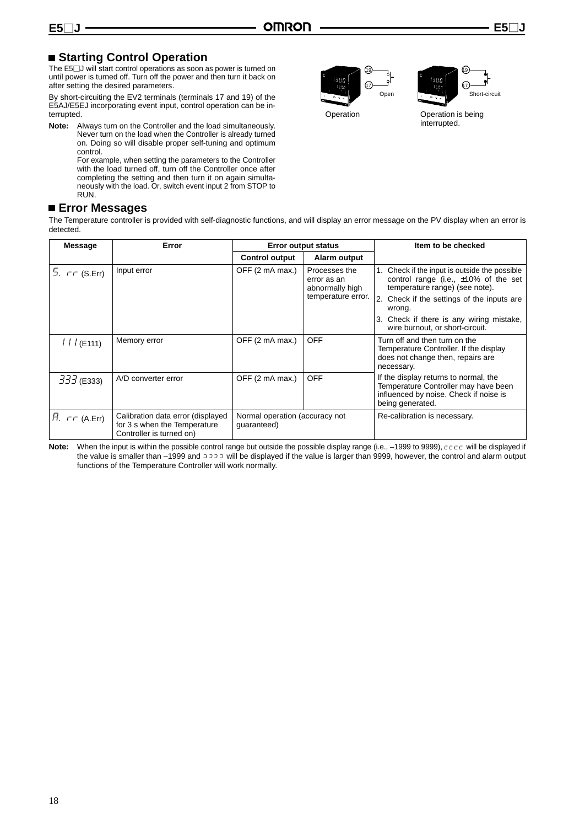# **Example Control Operation**

The E5⊡J will start control operations as soon as power is turned on until power is turned off. Turn off the power and then turn it back on after setting the desired parameters.

By short-circuiting the EV2 terminals (terminals 17 and 19) of the E5AJ/E5EJ incorporating event input, control operation can be interrupted.

**Note:** Always turn on the Controller and the load simultaneously. Never turn on the load when the Controller is already turned on. Doing so will disable proper self-tuning and optimum control.

For example, when setting the parameters to the Controller with the load turned off, turn off the Controller once after completing the setting and then turn it on again simultaneously with the load. Or, switch event input 2 from STOP to RUN.

# **Error Messages**

The Temperature controller is provided with self-diagnostic functions, and will display an error message on the PV display when an error is detected.

| Message                | Error                                                                                         | <b>Error output status</b>                    |                                                                       | Item to be checked                                                                                                                                                                                                                                                   |
|------------------------|-----------------------------------------------------------------------------------------------|-----------------------------------------------|-----------------------------------------------------------------------|----------------------------------------------------------------------------------------------------------------------------------------------------------------------------------------------------------------------------------------------------------------------|
|                        |                                                                                               | <b>Control output</b>                         | Alarm output                                                          |                                                                                                                                                                                                                                                                      |
| 5. $\tau \tau$ (S.Err) | Input error                                                                                   | OFF (2 mA max.)                               | Processes the<br>error as an<br>abnormally high<br>temperature error. | 1. Check if the input is outside the possible<br>control range (i.e., $\pm 10\%$ of the set<br>temperature range) (see note).<br>2. Check if the settings of the inputs are<br>wrong.<br>3. Check if there is any wiring mistake,<br>wire burnout, or short-circuit. |
| 111(E111)              | Memory error                                                                                  | OFF (2 mA max.)                               | <b>OFF</b>                                                            | Turn off and then turn on the<br>Temperature Controller. If the display<br>does not change then, repairs are<br>necessary.                                                                                                                                           |
| $333$ (E333)           | A/D converter error                                                                           | OFF (2 mA max.)                               | <b>OFF</b>                                                            | If the display returns to normal, the<br>Temperature Controller may have been<br>influenced by noise. Check if noise is<br>being generated.                                                                                                                          |
| $R. \tau \tau$ (A.Err) | Calibration data error (displayed<br>for 3 s when the Temperature<br>Controller is turned on) | Normal operation (accuracy not<br>guaranteed) |                                                                       | Re-calibration is necessary.                                                                                                                                                                                                                                         |

Note: When the input is within the possible control range but outside the possible display range (i.e., -1999 to 9999),  $c \in c$  will be displayed if the value is smaller than –1999 and  $\frac{1}{2}$  will be displayed if the value is larger than 9999, however, the control and alarm output functions of the Temperature Controller will work normally.





Operation Operation is being interrupted.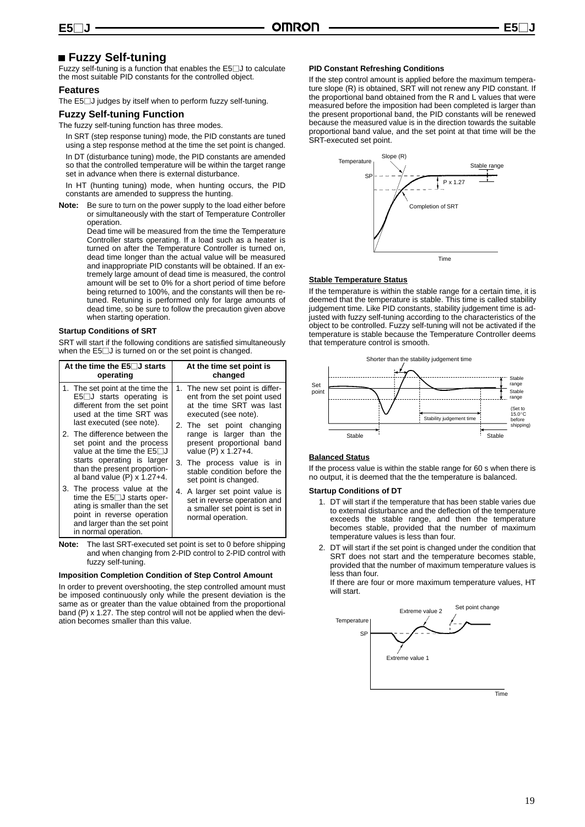# **Fuzzy Self-tuning**

Fuzzy self-tuning is a function that enables the E5<sup>[1</sup>] to calculate the most suitable PID constants for the controlled object.

#### **Features**

The E5□J judges by itself when to perform fuzzy self-tuning.

#### **Fuzzy Self-tuning Function**

The fuzzy self-tuning function has three modes.

In SRT (step response tuning) mode, the PID constants are tuned using a step response method at the time the set point is changed.

In DT (disturbance tuning) mode, the PID constants are amended so that the controlled temperature will be within the target range set in advance when there is external disturbance.

In HT (hunting tuning) mode, when hunting occurs, the PID constants are amended to suppress the hunting.

**Note:** Be sure to turn on the power supply to the load either before or simultaneously with the start of Temperature Controller operation.

Dead time will be measured from the time the Temperature Controller starts operating. If a load such as a heater is turned on after the Temperature Controller is turned on, dead time longer than the actual value will be measured and inappropriate PID constants will be obtained. If an extremely large amount of dead time is measured, the control amount will be set to 0% for a short period of time before being returned to 100%, and the constants will then be retuned. Retuning is performed only for large amounts of dead time, so be sure to follow the precaution given above when starting operation.

#### **Startup Conditions of SRT**

SRT will start if the following conditions are satisfied simultaneously when the  $E5\square J$  is turned on or the set point is changed.

| At the time the $E5$ J starts<br>operating                                                                                                                                               | At the time set point is<br>changed                                                                                  |
|------------------------------------------------------------------------------------------------------------------------------------------------------------------------------------------|----------------------------------------------------------------------------------------------------------------------|
| 1. The set point at the time the<br>$E5$ J starts operating is<br>different from the set point<br>used at the time SRT was<br>last executed (see note).                                  | 1. The new set point is differ-<br>ent from the set point used<br>at the time SRT was last<br>executed (see note).   |
| 2. The difference between the<br>set point and the process<br>value at the time the $E5\Box J$                                                                                           | 2. The set point changing<br>range is larger than the<br>present proportional band<br>value (P) x 1.27+4.            |
| starts operating is larger<br>than the present proportion-<br>al band value $(P) \times 1.27+4$ .                                                                                        | 3. The process value is in<br>stable condition before the<br>set point is changed.                                   |
| 3. The process value at the<br>time the $E5 \Box J$ starts oper-<br>ating is smaller than the set<br>point in reverse operation<br>and larger than the set point<br>in normal operation. | 4. A larger set point value is<br>set in reverse operation and<br>a smaller set point is set in<br>normal operation. |

**Note:** The last SRT-executed set point is set to 0 before shipping and when changing from 2-PID control to 2-PID control with fuzzy self-tuning.

#### **Imposition Completion Condition of Step Control Amount**

In order to prevent overshooting, the step controlled amount must be imposed continuously only while the present deviation is the same as or greater than the value obtained from the proportional band (P) x 1.27. The step control will not be applied when the deviation becomes smaller than this value.

#### **PID Constant Refreshing Conditions**

If the step control amount is applied before the maximum temperature slope (R) is obtained, SRT will not renew any PID constant. If the proportional band obtained from the R and L values that were measured before the imposition had been completed is larger than the present proportional band, the PID constants will be renewed because the measured value is in the direction towards the suitable proportional band value, and the set point at that time will be the SRT-executed set point.



#### **Stable Temperature Status**

If the temperature is within the stable range for a certain time, it is deemed that the temperature is stable. This time is called stability judgement time. Like PID constants, stability judgement time is adjusted with fuzzy self-tuning according to the characteristics of the object to be controlled. Fuzzy self-tuning will not be activated if the temperature is stable because the Temperature Controller deems that temperature control is smooth.



#### **Balanced Status**

If the process value is within the stable range for 60 s when there is no output, it is deemed that the the temperature is balanced.

#### **Startup Conditions of DT**

- 1. DT will start if the temperature that has been stable varies due to external disturbance and the deflection of the temperature exceeds the stable range, and then the temperature becomes stable, provided that the number of maximum temperature values is less than four.
- 2. DT will start if the set point is changed under the condition that SRT does not start and the temperature becomes stable, provided that the number of maximum temperature values is less than four.

If there are four or more maximum temperature values, HT will start.

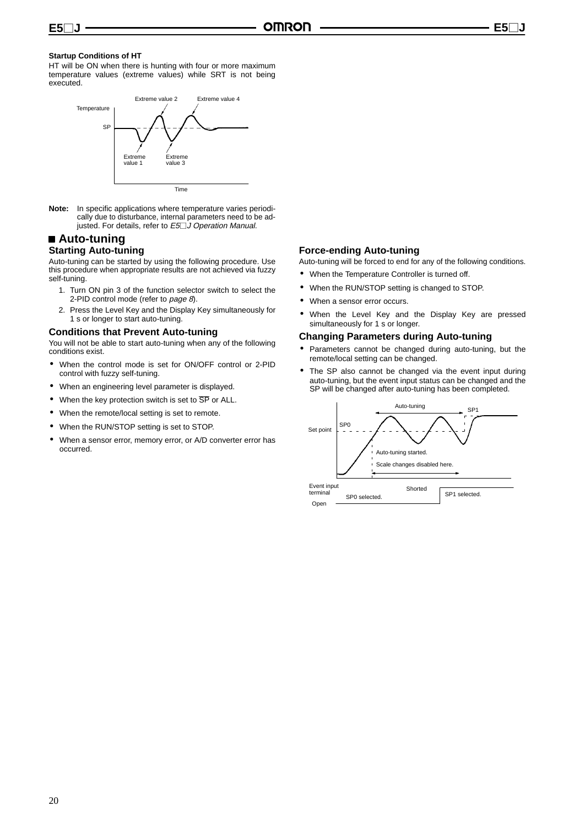#### **Startup Conditions of HT**

HT will be ON when there is hunting with four or more maximum temperature values (extreme values) while SRT is not being executed.



**Note:** In specific applications where temperature varies periodically due to disturbance, internal parameters need to be adjusted. For details, refer to E5□J Operation Manual.

#### **Auto-tuning Starting Auto-tuning**

Auto-tuning can be started by using the following procedure. Use this procedure when appropriate results are not achieved via fuzzy self-tuning.

- 1. Turn ON pin 3 of the function selector switch to select the 2-PID control mode (refer to page 8).
- 2. Press the Level Key and the Display Key simultaneously for 1 s or longer to start auto-tuning.

#### **Conditions that Prevent Auto-tuning**

You will not be able to start auto-tuning when any of the following conditions exist.

- When the control mode is set for ON/OFF control or 2-PID control with fuzzy self-tuning.
- When an engineering level parameter is displayed.
- When the key protection switch is set to  $\overline{\text{SP}}$  or ALL.
- When the remote/local setting is set to remote.
- When the RUN/STOP setting is set to STOP.
- When a sensor error, memory error, or A/D converter error has occurred.

#### **Force-ending Auto-tuning**

Auto-tuning will be forced to end for any of the following conditions.

- When the Temperature Controller is turned off.
- When the RUN/STOP setting is changed to STOP.
- When a sensor error occurs.
- When the Level Key and the Display Key are pressed simultaneously for 1 s or longer.

#### **Changing Parameters during Auto-tuning**

- Parameters cannot be changed during auto-tuning, but the remote/local setting can be changed.
- The SP also cannot be changed via the event input during auto-tuning, but the event input status can be changed and the SP will be changed after auto-tuning has been completed.

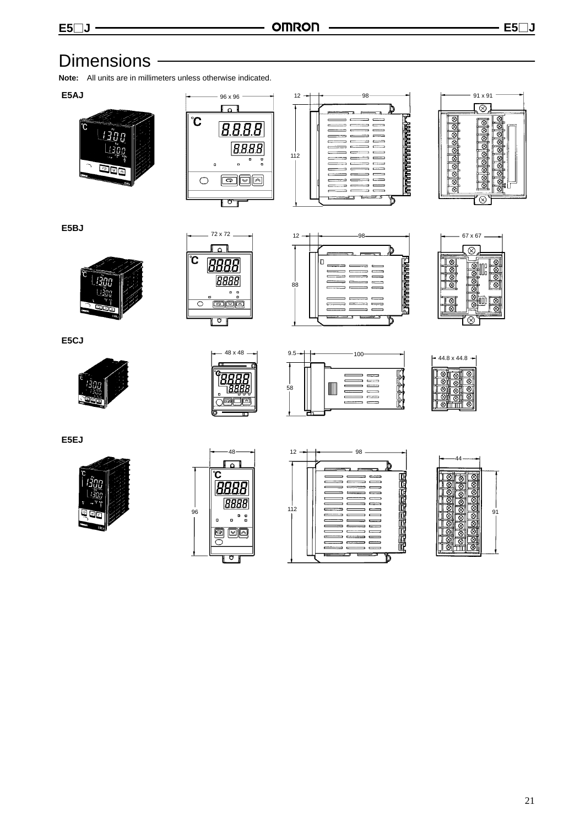# Dimensions -

**Note:** All units are in millimeters unless otherwise indicated.

**E5AJ**









**E5BJ**





 $12 - \leftarrow$  98 72 x 72 67 x 67 lc **Entropolitation**  $88$  $\overline{\phantom{a}}$  $\equiv$  $\equiv$  $\equiv$  $\overline{a}$ 



**E5CJ**









**E5EJ**







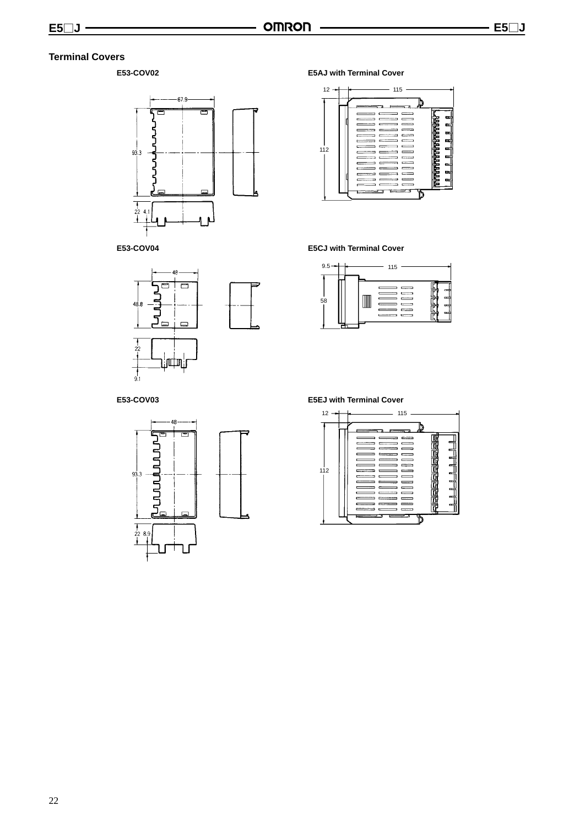### **Terminal Covers**

#### **E53-COV02**



**E53-COV04**



#### **E5AJ with Terminal Cover**



#### **E5CJ with Terminal Cover**



#### **E53-COV03**



#### **E5EJ with Terminal Cover**

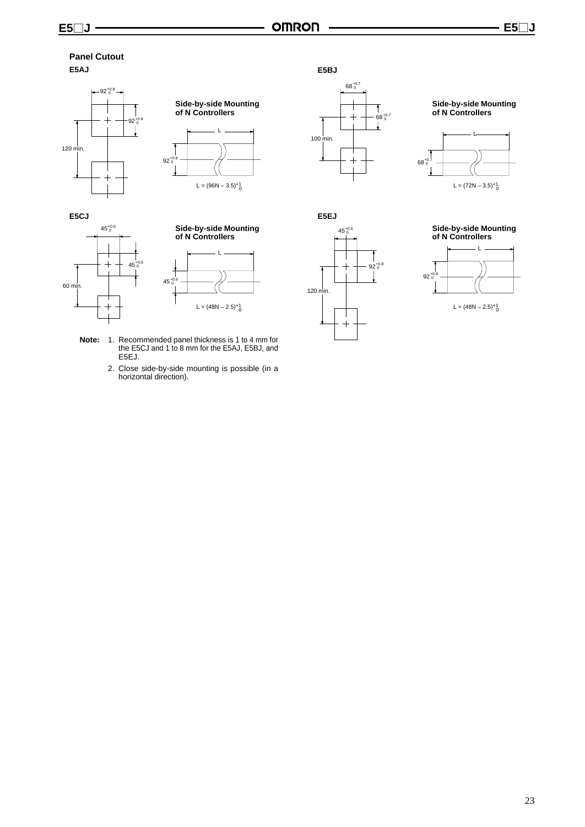#### **Panel Cutout E5AJ**











- **Note:** 1. Recommended panel thickness is 1 to 4 mm for the E5CJ and 1 to 8 mm for the E5AJ, E5BJ, and E5EJ.
	- 2. Close side-by-side mounting is possible (in a horizontal direction).



#### **Side-by-side Mounting of N Controllers**









L =  $(48N - 2.5)^{+1}$ <sub>0</sub>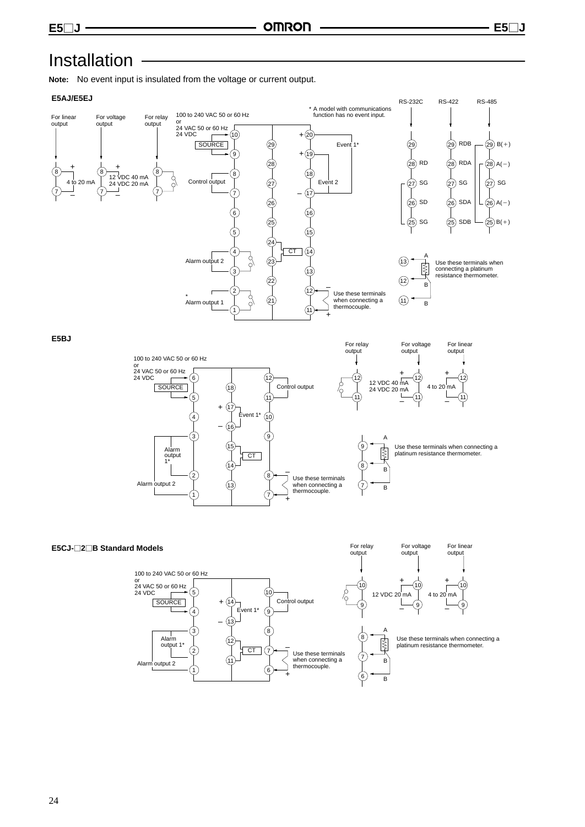# Installation

**Note:** No event input is insulated from the voltage or current output.

#### **E5AJ/E5EJ**



**E5BJ**



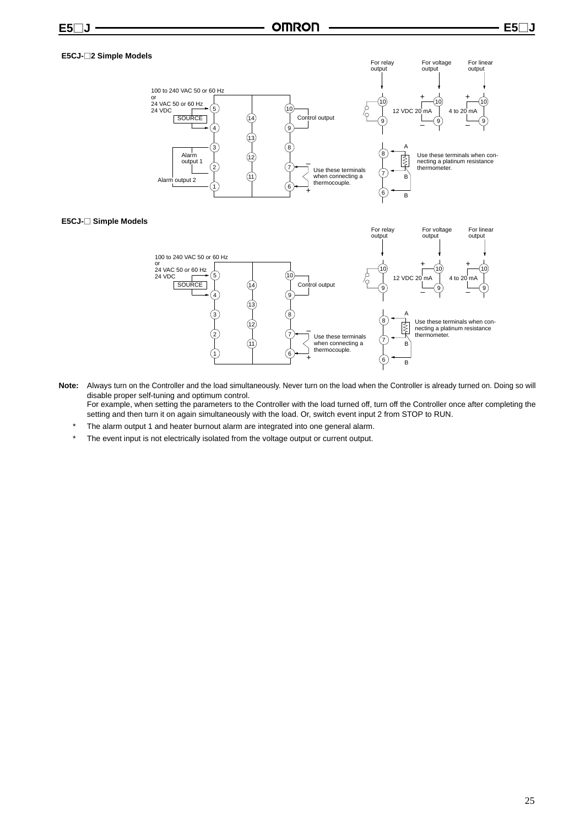#### **E5CJ-**-**2 Simple Models**



#### **E5CJ-**- **Simple Models**



- **Note:** Always turn on the Controller and the load simultaneously. Never turn on the load when the Controller is already turned on. Doing so will disable proper self-tuning and optimum control. For example, when setting the parameters to the Controller with the load turned off, turn off the Controller once after completing the
	- setting and then turn it on again simultaneously with the load. Or, switch event input 2 from STOP to RUN.
	- The alarm output 1 and heater burnout alarm are integrated into one general alarm.
	- \* The event input is not electrically isolated from the voltage output or current output.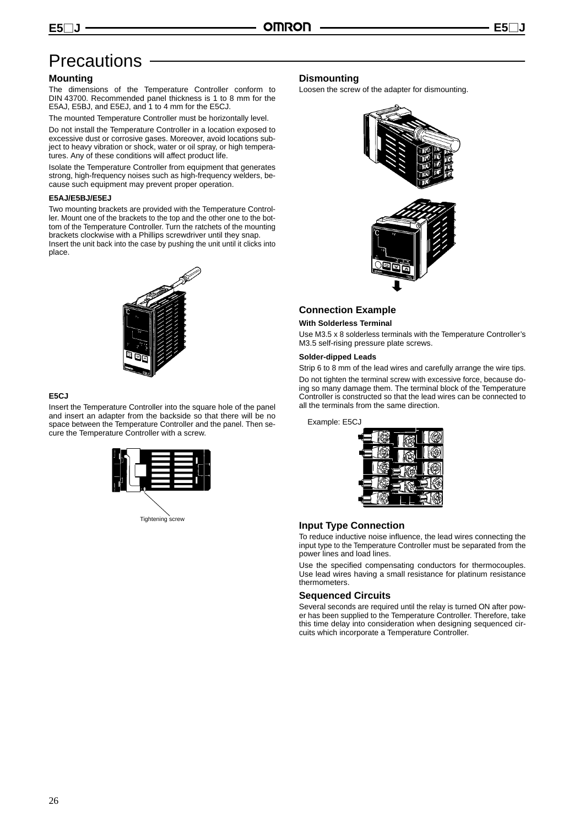# **Precautions**

#### **Mounting**

**E5**-

The dimensions of the Temperature Controller conform to DIN 43700. Recommended panel thickness is 1 to 8 mm for the E5AJ, E5BJ, and E5EJ, and 1 to 4 mm for the E5CJ.

The mounted Temperature Controller must be horizontally level.

Do not install the Temperature Controller in a location exposed to excessive dust or corrosive gases. Moreover, avoid locations subject to heavy vibration or shock, water or oil spray, or high temperatures. Any of these conditions will affect product life.

Isolate the Temperature Controller from equipment that generates strong, high-frequency noises such as high-frequency welders, because such equipment may prevent proper operation.

#### **E5AJ/E5BJ/E5EJ**

Two mounting brackets are provided with the Temperature Controller. Mount one of the brackets to the top and the other one to the bottom of the Temperature Controller. Turn the ratchets of the mounting brackets clockwise with a Phillips screwdriver until they snap. Insert the unit back into the case by pushing the unit until it clicks into place.



#### **E5CJ**

Insert the Temperature Controller into the square hole of the panel and insert an adapter from the backside so that there will be no space between the Temperature Controller and the panel. Then secure the Temperature Controller with a screw.



#### **Dismounting**

Loosen the screw of the adapter for dismounting.



#### **Connection Example**

#### **With Solderless Terminal**

Use M3.5 x 8 solderless terminals with the Temperature Controller's M3.5 self-rising pressure plate screws.

#### **Solder-dipped Leads**

Strip 6 to 8 mm of the lead wires and carefully arrange the wire tips. Do not tighten the terminal screw with excessive force, because doing so many damage them. The terminal block of the Temperature Controller is constructed so that the lead wires can be connected to all the terminals from the same direction.

Example: E5CJ



#### **Input Type Connection**

To reduce inductive noise influence, the lead wires connecting the input type to the Temperature Controller must be separated from the power lines and load lines.

Use the specified compensating conductors for thermocouples. Use lead wires having a small resistance for platinum resistance thermometers.

#### **Sequenced Circuits**

Several seconds are required until the relay is turned ON after power has been supplied to the Temperature Controller. Therefore, take this time delay into consideration when designing sequenced circuits which incorporate a Temperature Controller.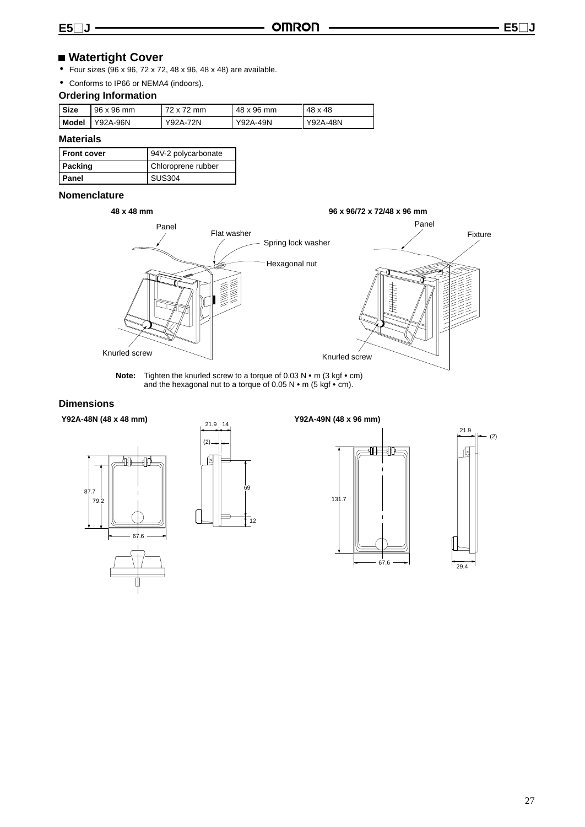# **Watertight Cover**

- Four sizes (96 x 96, 72 x 72, 48 x 96, 48 x 48) are available.
- Conforms to IP66 or NEMA4 (indoors).

### **Ordering Information**

| <b>Size</b> | 96 x 96 mm | 72 x 72 mm | 48 x 96 mm | 48 x 48  |
|-------------|------------|------------|------------|----------|
| Model       | Y92A-96N   | Y92A-72N   | Y92A-49N   | Y92A-48N |

### **Materials**

| I Front cover | 94V-2 polycarbonate |
|---------------|---------------------|
| l Packing     | Chloroprene rubber  |
| l Panel       | <b>SUS304</b>       |

#### **Nomenclature**



**Note:** Tighten the knurled screw to a torque of 0.03 N • m (3 kgf • cm) and the hexagonal nut to a torque of 0.05 N  $\cdot$  m (5 kgf  $\cdot$  cm).

#### **Dimensions**

**Y92A-48N (48 x 48 mm) Y92A-49N (48 x 96 mm)**







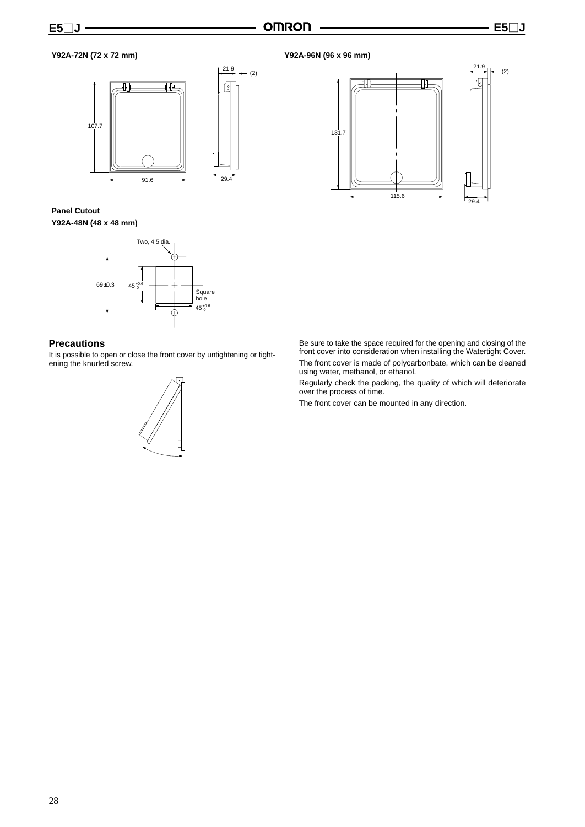$\frac{21.9}{2}$   $\left| \right|$  (2)

29



**Panel Cutout Y92A-48N (48 x 48 mm)**



#### **Precautions**

It is possible to open or close the front cover by untightening or tightening the knurled screw.







Be sure to take the space required for the opening and closing of the front cover into consideration when installing the Watertight Cover. The front cover is made of polycarbonbate, which can be cleaned using water, methanol, or ethanol.

Regularly check the packing, the quality of which will deteriorate over the process of time.

The front cover can be mounted in any direction.